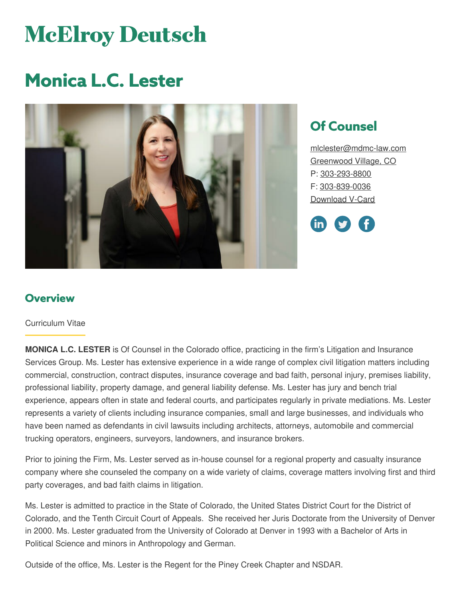# **McElroy Deutsch**

## **Monica L.C. Lester**



### **Of Counsel**

[mlclester@mdmc-law.com](mailto:mlclester@mdmc-law.com) [Greenwood](https://www.mdmc-law.com/offices/greenwood-village) Village, CO P: [303-293-8800](tel:303-293-8800) F: [303-839-0036](tel:303-839-0036) [Download](https://www.mdmc-law.com/node/458/vcard) V-Card



#### **Overview**

#### Curriculum Vitae

**MONICA L.C. LESTER** is Of Counsel in the Colorado office, practicing in the firm's Litigation and Insurance Services Group. Ms. Lester has extensive experience in a wide range of complex civil litigation matters including commercial, construction, contract disputes, insurance coverage and bad faith, personal injury, premises liability, professional liability, property damage, and general liability defense. Ms. Lester has jury and bench trial experience, appears often in state and federal courts, and participates regularly in private mediations. Ms. Lester represents a variety of clients including insurance companies, small and large businesses, and individuals who have been named as defendants in civil lawsuits including architects, attorneys, automobile and commercial trucking operators, engineers, surveyors, landowners, and insurance brokers.

Prior to joining the Firm, Ms. Lester served as in-house counsel for a regional property and casualty insurance company where she counseled the company on a wide variety of claims, coverage matters involving first and third party coverages, and bad faith claims in litigation.

Ms. Lester is admitted to practice in the State of Colorado, the United States District Court for the District of Colorado, and the Tenth Circuit Court of Appeals. She received her Juris Doctorate from the University of Denver in 2000. Ms. Lester graduated from the University of Colorado at Denver in 1993 with a Bachelor of Arts in Political Science and minors in Anthropology and German.

Outside of the office, Ms. Lester is the Regent for the Piney Creek Chapter and NSDAR.